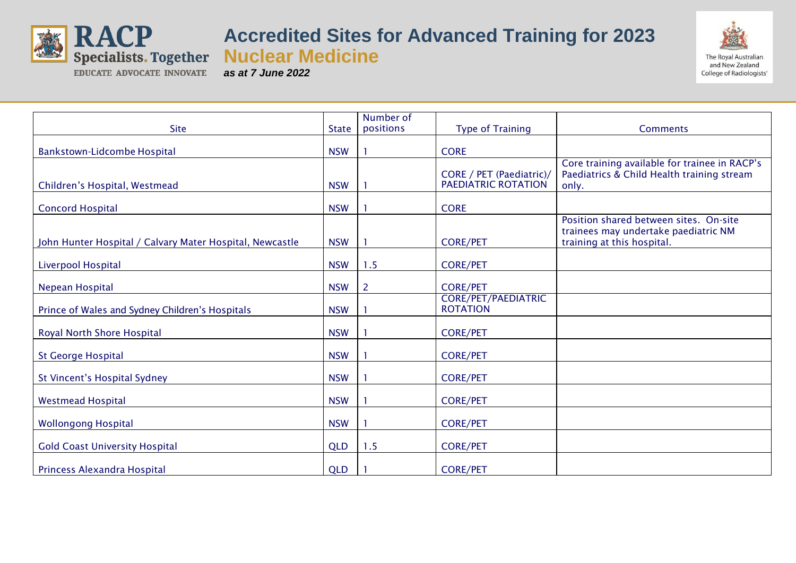

## **Accredited Sites for Advanced Training for 2023**

**Nuclear Medicine**

*as at 7 June 2022*



|                                                          |              | Number of |                                                 |                                                                                                              |
|----------------------------------------------------------|--------------|-----------|-------------------------------------------------|--------------------------------------------------------------------------------------------------------------|
| <b>Site</b>                                              | <b>State</b> | positions | <b>Type of Training</b>                         | <b>Comments</b>                                                                                              |
| Bankstown-Lidcombe Hospital                              | <b>NSW</b>   |           | <b>CORE</b>                                     |                                                                                                              |
| Children's Hospital, Westmead                            | <b>NSW</b>   |           | CORE / PET (Paediatric)/<br>PAEDIATRIC ROTATION | Core training available for trainee in RACP's<br>Paediatrics & Child Health training stream<br>only.         |
| <b>Concord Hospital</b>                                  | <b>NSW</b>   |           | <b>CORE</b>                                     |                                                                                                              |
| John Hunter Hospital / Calvary Mater Hospital, Newcastle | <b>NSW</b>   |           | <b>CORE/PET</b>                                 | Position shared between sites. On-site<br>trainees may undertake paediatric NM<br>training at this hospital. |
| Liverpool Hospital                                       | <b>NSW</b>   | 1.5       | <b>CORE/PET</b>                                 |                                                                                                              |
| Nepean Hospital                                          | <b>NSW</b>   | 2         | <b>CORE/PET</b>                                 |                                                                                                              |
| Prince of Wales and Sydney Children's Hospitals          | <b>NSW</b>   |           | <b>CORE/PET/PAEDIATRIC</b><br><b>ROTATION</b>   |                                                                                                              |
| Royal North Shore Hospital                               | <b>NSW</b>   |           | <b>CORE/PET</b>                                 |                                                                                                              |
| <b>St George Hospital</b>                                | <b>NSW</b>   |           | <b>CORE/PET</b>                                 |                                                                                                              |
| St Vincent's Hospital Sydney                             | <b>NSW</b>   |           | <b>CORE/PET</b>                                 |                                                                                                              |
| <b>Westmead Hospital</b>                                 | <b>NSW</b>   |           | <b>CORE/PET</b>                                 |                                                                                                              |
| <b>Wollongong Hospital</b>                               | <b>NSW</b>   |           | <b>CORE/PET</b>                                 |                                                                                                              |
| <b>Gold Coast University Hospital</b>                    | <b>QLD</b>   | 1.5       | <b>CORE/PET</b>                                 |                                                                                                              |
| Princess Alexandra Hospital                              | <b>QLD</b>   |           | <b>CORE/PET</b>                                 |                                                                                                              |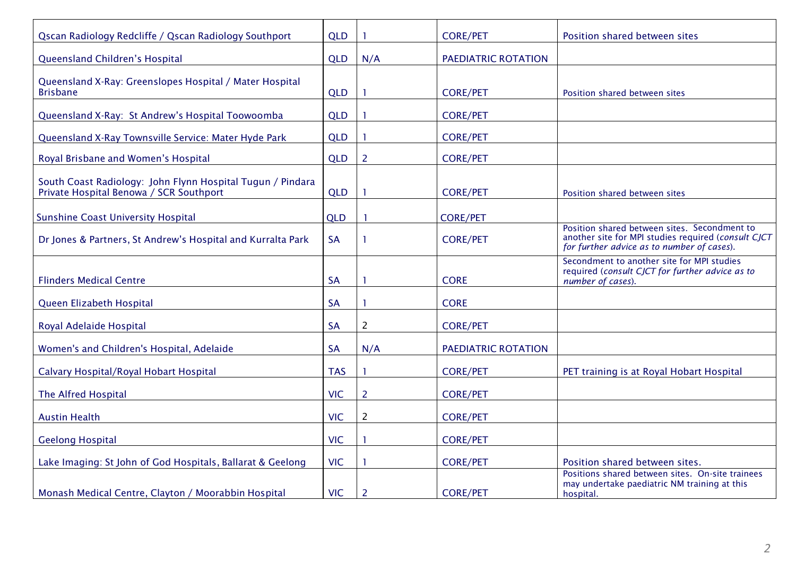| Qscan Radiology Redcliffe / Qscan Radiology Southport                                                 | <b>QLD</b> |                | <b>CORE/PET</b>     | Position shared between sites                                                                                                                     |
|-------------------------------------------------------------------------------------------------------|------------|----------------|---------------------|---------------------------------------------------------------------------------------------------------------------------------------------------|
| Queensland Children's Hospital                                                                        | <b>QLD</b> | N/A            | PAEDIATRIC ROTATION |                                                                                                                                                   |
| Queensland X-Ray: Greenslopes Hospital / Mater Hospital<br><b>Brisbane</b>                            | <b>QLD</b> |                | <b>CORE/PET</b>     | Position shared between sites                                                                                                                     |
| Queensland X-Ray: St Andrew's Hospital Toowoomba                                                      | <b>QLD</b> |                | <b>CORE/PET</b>     |                                                                                                                                                   |
| Queensland X-Ray Townsville Service: Mater Hyde Park                                                  | <b>QLD</b> |                | <b>CORE/PET</b>     |                                                                                                                                                   |
| Royal Brisbane and Women's Hospital                                                                   | <b>QLD</b> | $\overline{2}$ | <b>CORE/PET</b>     |                                                                                                                                                   |
| South Coast Radiology: John Flynn Hospital Tugun / Pindara<br>Private Hospital Benowa / SCR Southport | <b>QLD</b> |                | <b>CORE/PET</b>     | Position shared between sites                                                                                                                     |
| <b>Sunshine Coast University Hospital</b>                                                             | <b>QLD</b> |                | <b>CORE/PET</b>     |                                                                                                                                                   |
| Dr Jones & Partners, St Andrew's Hospital and Kurralta Park                                           | <b>SA</b>  | -1             | <b>CORE/PET</b>     | Position shared between sites. Secondment to<br>another site for MPI studies required (consult CJCT<br>for further advice as to number of cases). |
| <b>Flinders Medical Centre</b>                                                                        | <b>SA</b>  | -1             | <b>CORE</b>         | Secondment to another site for MPI studies<br>required (consult CJCT for further advice as to<br>number of cases).                                |
| Queen Elizabeth Hospital                                                                              | <b>SA</b>  | -1             | <b>CORE</b>         |                                                                                                                                                   |
| Royal Adelaide Hospital                                                                               | <b>SA</b>  | $\overline{2}$ | <b>CORE/PET</b>     |                                                                                                                                                   |
| Women's and Children's Hospital, Adelaide                                                             | <b>SA</b>  | N/A            | PAEDIATRIC ROTATION |                                                                                                                                                   |
| Calvary Hospital/Royal Hobart Hospital                                                                | <b>TAS</b> |                | <b>CORE/PET</b>     | PET training is at Royal Hobart Hospital                                                                                                          |
| The Alfred Hospital                                                                                   | <b>VIC</b> | $\overline{2}$ | <b>CORE/PET</b>     |                                                                                                                                                   |
| <b>Austin Health</b>                                                                                  | <b>VIC</b> | $\overline{2}$ | <b>CORE/PET</b>     |                                                                                                                                                   |
| <b>Geelong Hospital</b>                                                                               | <b>VIC</b> |                | <b>CORE/PET</b>     |                                                                                                                                                   |
| Lake Imaging: St John of God Hospitals, Ballarat & Geelong                                            | <b>VIC</b> |                | <b>CORE/PET</b>     | Position shared between sites.                                                                                                                    |
| Monash Medical Centre, Clayton / Moorabbin Hospital                                                   | <b>VIC</b> | $\overline{2}$ | <b>CORE/PET</b>     | Positions shared between sites. On-site trainees<br>may undertake paediatric NM training at this<br>hospital.                                     |